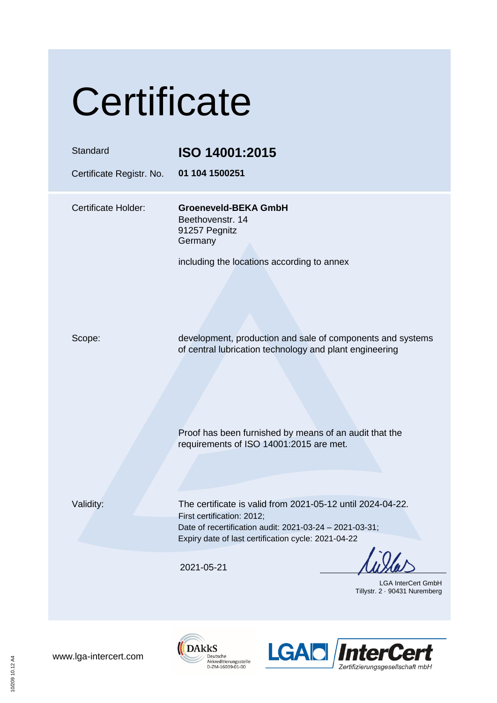## **Certificate**

| Standard<br>Certificate Registr. No. | ISO 14001:2015<br>01 104 1500251                                                                                                                                                                           |
|--------------------------------------|------------------------------------------------------------------------------------------------------------------------------------------------------------------------------------------------------------|
| Certificate Holder:                  | <b>Groeneveld-BEKA GmbH</b><br>Beethovenstr. 14<br>91257 Pegnitz<br>Germany<br>including the locations according to annex                                                                                  |
| Scope:                               | development, production and sale of components and systems<br>of central lubrication technology and plant engineering                                                                                      |
|                                      | Proof has been furnished by means of an audit that the<br>requirements of ISO 14001:2015 are met.                                                                                                          |
| Validity:                            | The certificate is valid from 2021-05-12 until 2024-04-22.<br>First certification: 2012;<br>Date of recertification audit: 2021-03-24 - 2021-03-31;<br>Expiry date of last certification cycle: 2021-04-22 |
|                                      | 2021-05-21<br><b>LGA InterCert GmbH</b><br>Tillystr. 2 · 90431 Nuremberg                                                                                                                                   |